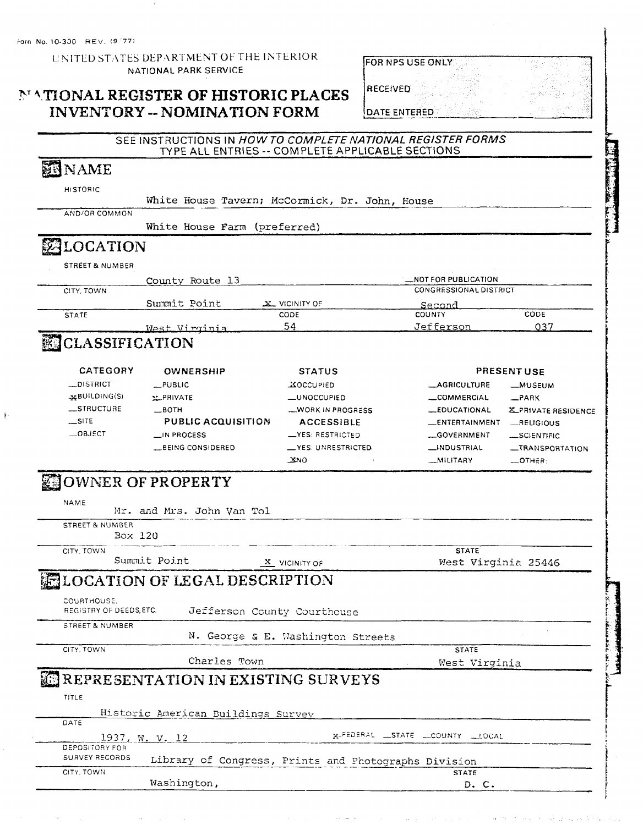UNITED STATES DEPARTMENT OF THE INTERIOR NATIONAL PARK SERVICE

# MATIONAL REGISTER OF HISTORIC PLACES **INVENTORY -- NOMINATION FORM**

| FOR NPS USE ONLY |  |
|------------------|--|
| <b>RECEIVED</b>  |  |
| DATE ENTERED     |  |

D.C.

### SEE INSTRUCTIONS IN HOW TO COMPLETE NATIONAL REGISTER FORMS TYPE ALL ENTRIES -- COMPLETE APPLICABLE SECTIONS

| <b>ENAME</b> |  |
|--------------|--|
|--------------|--|

| LOCATION        |  |                                                |  |  |
|-----------------|--|------------------------------------------------|--|--|
|                 |  | White House Farm (preferred)                   |  |  |
| AND/OR COMMON   |  |                                                |  |  |
|                 |  | White House Tavern; McCormick, Dr. John, House |  |  |
| <b>HISTORIC</b> |  |                                                |  |  |

**STREET & NUMBER** 

|              | County Route 13 |               | _NOT FOR PUBLICATION          |      |  |  |
|--------------|-----------------|---------------|-------------------------------|------|--|--|
| CITY, TOWN   |                 |               | <b>CONGRESSIONAL DISTRICT</b> |      |  |  |
|              | Summit Point    | X VICINITY OF | Second                        |      |  |  |
| <b>STATE</b> |                 | CODE          | COUNTY                        | CODE |  |  |
|              | West Virginia   | 54            | Jefferson                     |      |  |  |

# CLASSIFICATION

| CATEGORY<br><b>OWNERSHIP</b> |                    | <b>STATUS</b>             |                       | <b>PRESENT USE</b>         |  |  |  |
|------------------------------|--------------------|---------------------------|-----------------------|----------------------------|--|--|--|
| <b>DISTRICT</b>              | $\_$ PUBLIC        | <b>XOCCUPIED</b>          | <b>AGRICULTURE</b>    | <b>_MUSEUM</b>             |  |  |  |
| $\star$ BUILDING(S)          | <b>Y_PRIVATE</b>   | <b>LUNOCCUPIED</b>        | COMMERCIAL            | $R$ PARK                   |  |  |  |
| <b>STRUCTURE</b>             | $$ BOTH            | <b>WORK IN PROGRESS</b>   | _EDUCATIONAL          | <b>X_PRIVATE RESIDENCE</b> |  |  |  |
| $\equiv$ SITE                | PUBLIC ACQUISITION | <b>ACCESSIBLE</b>         | <b>LENTERTAINMENT</b> | RELIGIOUS                  |  |  |  |
| $-0$ BJECT                   | $\Box$ IN PROCESS  | <b>LYES: RESTRICTED</b>   | GOVERNMENT            | SCIENTIFIC                 |  |  |  |
|                              | BEING CONSIDERED   | <b>LYES: UNRESTRICTED</b> | <b>LINDUSTRIAL</b>    | <b>__TRANSPORTATION</b>    |  |  |  |
|                              |                    | Xмo.                      | <b>MILITARY</b>       | OTHER-                     |  |  |  |

# **ENOWNED OF PROPERTY**

Washington,

| NAME<br>Mr. and Mrs. John Van Tol     |                                                      |                                  |
|---------------------------------------|------------------------------------------------------|----------------------------------|
| STREET & NUMBER                       |                                                      |                                  |
| Box 120                               |                                                      |                                  |
| CITY. TOWN                            |                                                      | <b>STATE</b>                     |
| Summit Point                          | X VICINITY OF                                        | West Virginia 25446              |
| <b>ELOCATION OF LEGAL DESCRIPTION</b> |                                                      |                                  |
|                                       |                                                      |                                  |
| COURTHOUSE.<br>REGISTRY OF DEEDS ETC. | Jefferson County Courthouse                          |                                  |
|                                       |                                                      |                                  |
| <b>STREET &amp; NUMBER</b>            | N. George & E. Washington Streets                    |                                  |
| CITY, TOWN                            |                                                      | <b>STATE</b>                     |
|                                       | Charles Town                                         | West Virginia                    |
| REPRESENTATION IN EXISTING SURVEYS    |                                                      |                                  |
|                                       |                                                      |                                  |
| TITLE                                 |                                                      |                                  |
| Historic American Buildings Survey    |                                                      |                                  |
| DATE                                  |                                                      |                                  |
| 1937, W. V. 12                        |                                                      | K-FEDERAL _STATE _COUNTY __LOCAL |
| DEPOSITORY FOR                        |                                                      |                                  |
| SURVEY RECORDS                        | Library of Congress, Prints and Photographs Division |                                  |
| CITY. TOWN                            |                                                      | <b>STATE</b>                     |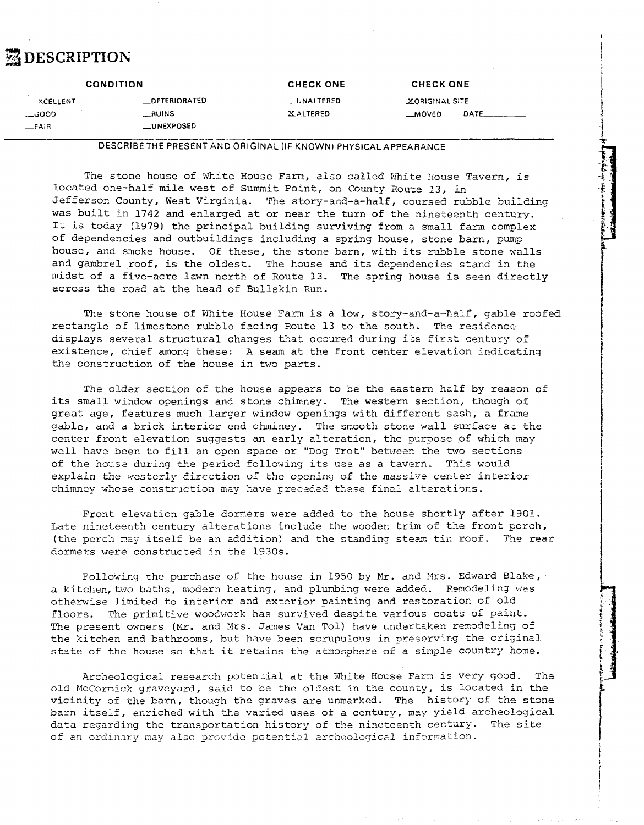# *E* DESCRIPTION

|                        | <b>CONDITION</b>     | <b>CHECK ONE</b> | <b>CHECK ONE</b>      |  |
|------------------------|----------------------|------------------|-----------------------|--|
| <b><i>XCELLENT</i></b> | <b>_DETERIORATED</b> | __UNALTERED      | <b>XORIGINAL SITE</b> |  |
| 000فـــ                | __RUINS              | XALTERED         | <b>MOVED</b>          |  |
| $-$ FAIR               | <b>__UNEXPOSED</b>   |                  |                       |  |

### **DESCRIBE THE PRESENT AND ORIGINAL (IF KNOWN) PHYSICAL APPEARANCE**

The stone house of White House Farm, also called White House Tavern, is located one-half mile west of Summit Point, on County Route 13, in Jefferson County, West Virginia. The story-and-a-half, coursed rubble building was built in 1742 and enlarged at or near the turn of the nineteenth century. It is today (1979) the principal building surviving from a small farm complex of dependencies and outbuildings including a spring house, stone barn, pump house, and smoke house. Of these, the stone barn, with its rubble stone walls and gambrel roof, is the oldest. The house and its dependencies stand in the midst of a five-acre lawn north of Route 13. The spring house is seen directly across the road at the head of Bullskin Run.

The stone house of White House Farm is a low, story-and-a-half, gable roofed rectangle of limestone rubble facing Route 13 to the south. The residence displays several structural changes that ocenred during **25s** firit century 02 existence, chief among these: A seam at the front center elevation indicating the construction of the house in two parts.

The older section of the house appears to be the eastern half by reason of its small window openings and stone chimney. The western section, though of great age, features much larger window openings with different sash, a frame gable, and a brick interior end chminey. The smooth stone wall surface at the center front elevation suggests an early alteration, the purpose of which may well have been to fill an open space or "Dog Trot" between the two sections of the house during the period following its use as a tavern. This would explain the westerly direction of the opening of the massive center interior chimney whose construction may have preceded these final alterations.

Front elevation gable dormers were added to the house shortly after 1901. Late nineteenth century alterations include the wooden trim of the front porch, (the porch may itself be an addition) and the standing steam tin roof. The rear dormers were constructed in the 1930s.

Following the purchase of the house in 1950 by Mr. and Mrs. Edward Blake, a kitchen, two baths, modern heating, and plumbing were added, Remodeling was otherwise limited to interior and exterior painting and restoration of old floors. The primitive woodwork has survived despite various coats of paint. The present owners (Mr. and Mrs. James Van Tol) have undertaken remodeling of the kitchen and bathrooms, but have been scrupulous in preserving the original state of the house so that it retains the atmosphere of a simple country home.

Archeological research potential at the White House Farm is very good. The old McCormick graveyard, said to be the oldest in the county, is located in the vicinity of the barn, though the graves are unmarked. The history of the stone barn itself, enriched with the varied uses of a century, nay yield archeological data regarding the transportation history of the nineteenth century. The site of an ordinary may also provide potential archeological information.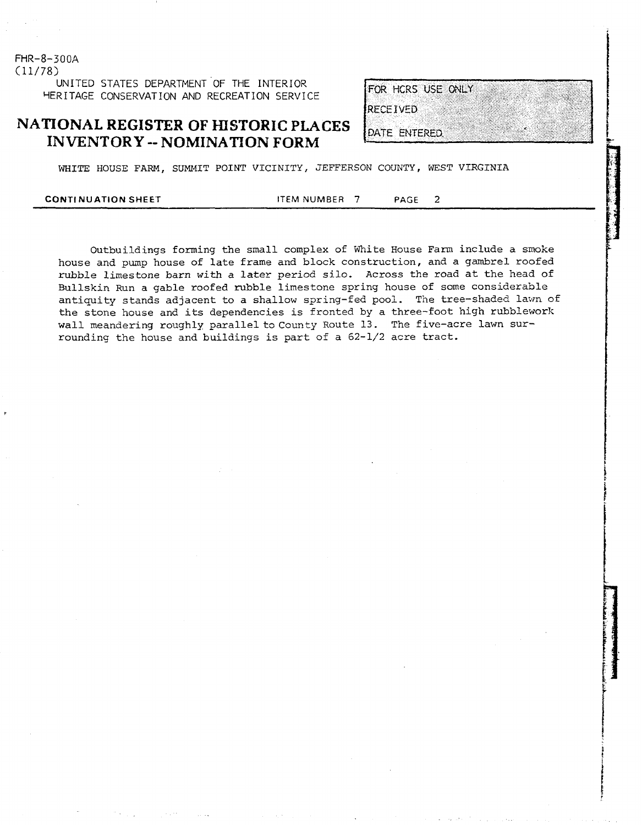**FHR-8-300A**  (11/78) UNITED STATES DEPARTMENT OF THE INTERIOR **YERITAGE CONSERVATION AND RECREATION SERVICE** 

**NATIONAL REGISTER OF HISTORIC PLACES INVENTORY** -- **NOMINATION FORM** 

FOR HCRS USE ONLY **RECEIVED** 

DATE ENTERED

WHITE HOUSE FARM, SUMMIT POINT VICINITY, JEFFERSON COUNTY, **WEST VIRGINIA** 

**CONTINUATION SHEET 17 ITEM NUMBER 7 PAGE 2** 

Outbuildings forming the small complex of White House Farm include a smoke house and pump house of late frame and block construction, and a gambrel roofed rubble limestone barn with a later period silo. Across the road at the head of Bullskin Run a gable roofed rubble limestone spring house of some considerable antiquity stands adjacent to a shallow spring-fed pool. The tree-shaded lawn of the stone house and its dependencies is fronted by a three-foot high rubblework wall meandering roughly parallel to County Route 13. The five-acre lawn surrounding the house and buildings is part of a 62-1/2 acre tract.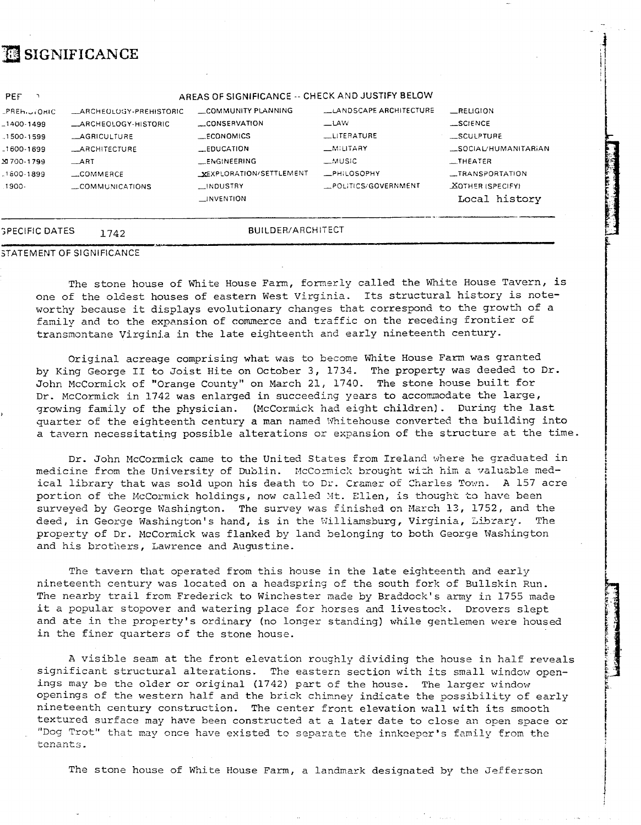# **ESIGNIFICANCE**

| <b><i>SPECIFIC DATES</i></b> | 1742                        | <b>BUILDER/ARCHITECT</b> |                               |                         |
|------------------------------|-----------------------------|--------------------------|-------------------------------|-------------------------|
|                              |                             | $\Box$ INVENTION         |                               | Local history           |
| .1900-                       | COMMUNICATIONS              | _INDUSTRY                | POLITICS/GOVERNMENT           | <b>XOTHER (SPECIFY)</b> |
| $-1800 - 1899$               | $\ldots$ COMMERCE           | XEXPLORATION/SETTLEMENT  | <b>_PHILOSOPHY</b>            | _TRANSPORTATION         |
| X 700-1799                   | $\rightarrow$ ART           | <b>LENGINEERING</b>      | ⊥MUSIC                        | IIIER                   |
| $-1600 - 1699$               | <b>LARCHITECTURE</b>        | $_{\text{}}$ EDUCATION   | _MILITARY                     | _SOCIAL/HUMANITARIAN    |
| $.1500 - 1599$               | <b>LAGRICULTURE</b>         | <b>LECONOMICS</b>        | LITERATURE                    | __SCULPTURE             |
| $-1400 - 1499$               | <b>LARCHEOLOGY-HISTORIC</b> | CONSERVATION             | <b>LLAW</b>                   | _SCIENCE                |
| PREHIJIOHIC                  | LARCHEOLOGY-PREHISTORIC     | COMMUNITY PLANNING       | <b>LANDSCAPE ARCHITECTURE</b> | RELIGION                |

The stone house of White House Farm, formerly called the White House Tavern, is one of the oldest houses of eastern West Virginia. Its structural history is noteworthy because it displays evolutionary changes that correspond to the growth of a family and to the expansion of commerce and traffic on the receding frontier of transmontane Virginia in the late eighteenth and early nineteenth century.

Original acreage comprising what was to become White House Farm was granted by King George **I1** to Joist Hite on October 3, 1734. The property was deeded to Dr. John McCormick of "Orange County" on March 21, 1740. The stone house built for Dr. McCormick in 1742 was enlarged in succeeding years to accommodate the large, growing family of the physician. (McCormick had eight children). During the last quarter of the eighteenth century a man named Whitehouse converted the building into a tavern necessitating possible alterations or expansion of the structure at the time.

Dr. John McCormick came to the United States from Ireland where he graduated in medicine from the University of Dublin. McCormick brought with him a valuable medical library that was sold upon his death to Dr. Cramer of Charles Town. A 157 acre portion of the McCormick holdings, now called Mt. Ellen, is thought to have been surveyed by George Washington. The survey was finished on March 13, 1752, and the deed, in George Washington's hand, is in the Williamsburg, Virginia, Library. The property of Dr. McCormick **was** flanked by land belonging to both George Washington and his brothers, Lawrence and Augustine.

The tavern that operated from this house in the late eighteenth and early nineteenth century was located on a headspring of the south fork of Bullskin Run. The nearby trail from Frederick to Winchester made by Braddock's army in 1755 made it a popular stopover and watering place for horses **and** livestock. Drovers slept and ate in the property's ordinary (no longer scanding) while gentlemen were housed in the finer quarters of the stone house.

A visible seam at the front elevation roughly dividing the house in half reveals significant structural alterations. The eastern section with its small window openings may be the older or original (1742) part of the house. The larger window openings of the western half and the brick chimney indicate the possibility of early nineteenth century construction. The center front elevation wall with its smooth textured surface may have been constructed at a later date to close an open space or "Dog Trot" that may once have existed to separate the innkeeper's family from the tenants.

i

**t** 

I  $\mathbf{1}$ 

The stone house of White House Farm, a landmark designated by the Jefferson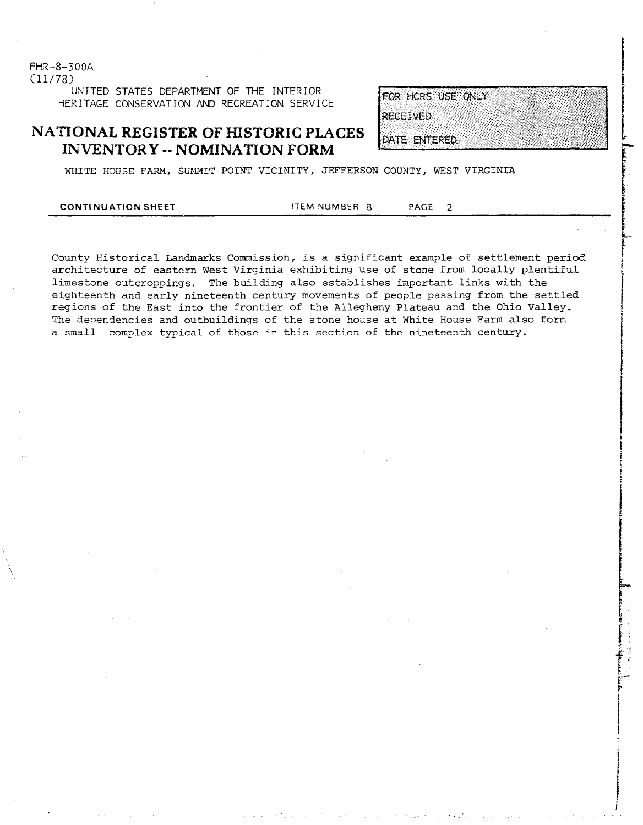$FHR - 8 - 300A$  $(11/78)$ UNITED STATES DEPARTMENT OF THE INTERIOR HERITAGE CONSERVATION AND RECREATION SERVICE

## **NATIONAL REGISTER OF HISTORIC PLACES INVENTORY** -- **NOMINATION FORM**

| FOR HCRS USE ONLY |  |  |  |
|-------------------|--|--|--|
| <b>ECEIVED</b>    |  |  |  |
|                   |  |  |  |
| MATE ENTERED.     |  |  |  |

WHITE HOUSE FARM, SUMMIT POINT VICINITY, JEFFERSON COUNTY, WEST VIRGINIA

### **CONTI NU ATION SHEET** ITEM NUMBER **8 PAGE** 2

County Historical Landmarks Commission, is a significant example of settlement period architecture of eastern West Virginia exhibiting use of stone from locally plentiful limestone outcroppings. The building also establishes important links **with** the eighteenth and early nineteenth century movements of people passing from the settled regions of the East into the frontier of the Allegheny Plateau and the Ohio Valley. The dependencies and outbuildings of the stone house at White House Farm also form a small complex typical of those in this section of the nineteenth century.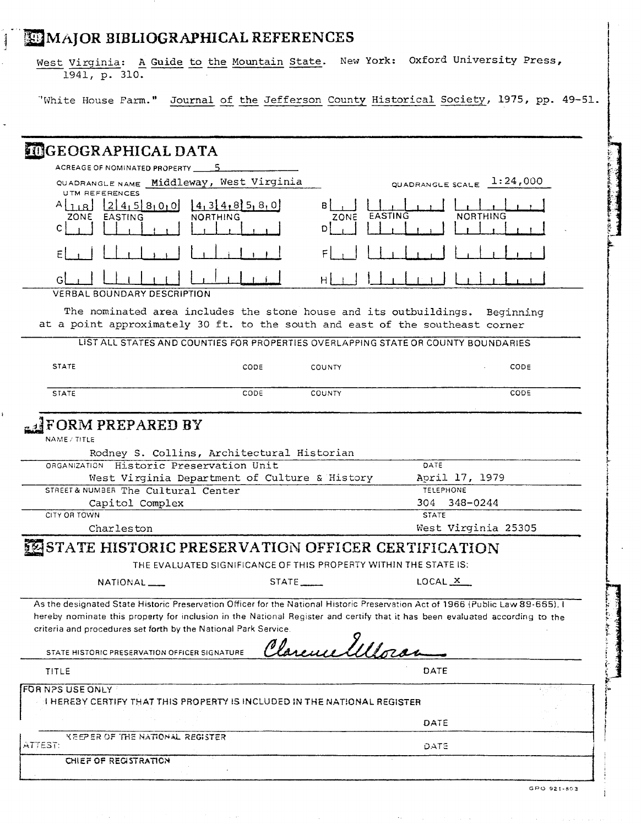# **MAJOR BIBLIOGRAPHICAL REFERENCES**

J

West Virginia: A Guide to the Mountain State. New York: Oxford University Press, 1941, p. 310.

'White House Farm." Journal of the Jefferson County Historical Society, 1975, pp. 49-51.

| <b>INGEOGRAPHICAL DATA</b>                                                                                                                                                                                                                                                                                                                                                                                                                       |                                            |
|--------------------------------------------------------------------------------------------------------------------------------------------------------------------------------------------------------------------------------------------------------------------------------------------------------------------------------------------------------------------------------------------------------------------------------------------------|--------------------------------------------|
| ACREAGE OF NOMINATED PROPERTY _____5                                                                                                                                                                                                                                                                                                                                                                                                             |                                            |
| QUADRANGLE NAME Middleway, West Virginia                                                                                                                                                                                                                                                                                                                                                                                                         | QUADRANGLE SCALE $1:24,000$                |
| <b>UTM REFERENCES</b><br>$A$ <sub>18</sub> $[2]$ 45 $[8]$ 0 <sub>1</sub> 0<br>$\{4,3\},4,8\}$ 5, 8, 0<br><b>NORTHING</b><br>ZONE EASTING                                                                                                                                                                                                                                                                                                         | в<br>EASTING<br><b>NORTHING</b><br>ZONE    |
| C                                                                                                                                                                                                                                                                                                                                                                                                                                                |                                            |
|                                                                                                                                                                                                                                                                                                                                                                                                                                                  |                                            |
| G<br><b>VERBAL BOUNDARY DESCRIPTION</b>                                                                                                                                                                                                                                                                                                                                                                                                          | H.                                         |
| The nominated area includes the stone house and its outbuildings. Beginning<br>at a point approximately 30 ft. to the south and east of the southeast corner                                                                                                                                                                                                                                                                                     |                                            |
| LIST ALL STATES AND COUNTIES FOR PROPERTIES OVERLAPPING STATE OR COUNTY BOUNDARIES                                                                                                                                                                                                                                                                                                                                                               |                                            |
| <b>STATE</b><br>CODE                                                                                                                                                                                                                                                                                                                                                                                                                             | CODE<br><b>COUNTY</b>                      |
| CODE<br><b>STATE</b>                                                                                                                                                                                                                                                                                                                                                                                                                             | CODE<br><b>COUNTY</b>                      |
| ORGANIZATION Historic Preservation Unit<br>West Virginia Department of Culture & History<br>STREET& NUMBER The Cultural Center                                                                                                                                                                                                                                                                                                                   | DATE<br>April 17, 1979<br><b>TELEPHONE</b> |
|                                                                                                                                                                                                                                                                                                                                                                                                                                                  |                                            |
|                                                                                                                                                                                                                                                                                                                                                                                                                                                  |                                            |
| Capitol Complex<br>CITY OR TOWN                                                                                                                                                                                                                                                                                                                                                                                                                  | 348-0244<br>304 -<br><b>STATE</b>          |
| Charleston                                                                                                                                                                                                                                                                                                                                                                                                                                       | West Virginia 25305                        |
| THE EVALUATED SIGNIFICANCE OF THIS PROPERTY WITHIN THE STATE IS:                                                                                                                                                                                                                                                                                                                                                                                 |                                            |
| $NATIONAL$ __<br>$STATE$ <sub>_____</sub>                                                                                                                                                                                                                                                                                                                                                                                                        | LOCAL X                                    |
| <b>ESTATE HISTORIC PRESERVATION OFFICER CERTIFICATION</b><br>As the designated State Historic Preservation Officer for the National Historic Preservation Act of 1966 (Public Law 89-665), I<br>hereby nominate this property for inclusion in the National Register and certify that it has been evaluated according to the<br>criteria and procedures set forth by the National Park Service.<br>STATE HISTORIC PRESERVATION OFFICER SIGNATURE | Clarence Wilson                            |
| TITLE                                                                                                                                                                                                                                                                                                                                                                                                                                            | DATE                                       |
|                                                                                                                                                                                                                                                                                                                                                                                                                                                  |                                            |
| <b>FOR NPS USE ONLY</b><br>I HEREBY CERTIFY THAT THIS PROPERTY IS INCLUDED IN THE NATIONAL REGISTER                                                                                                                                                                                                                                                                                                                                              |                                            |
|                                                                                                                                                                                                                                                                                                                                                                                                                                                  | DATE                                       |
| KEEPER OF THE NATIONAL REGISTER<br>ATTEST:                                                                                                                                                                                                                                                                                                                                                                                                       | DATE                                       |

 $\sim$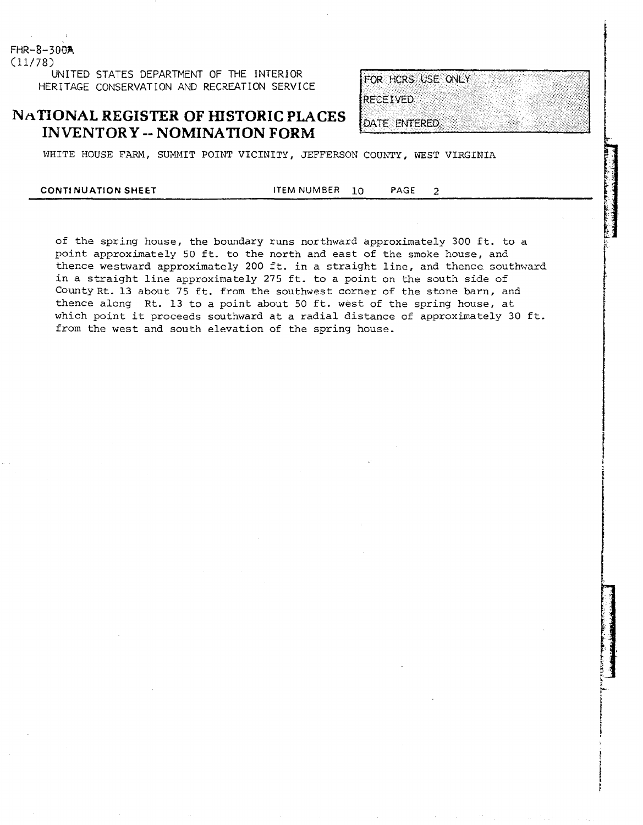**FHR-8-300R**   $(11/78)$ **UNITED STATES DEPARTMENT OF THE INTERIOR HERITAGE CONSERVATION AND RECREATION SERVICE** 

## **NATIONAL REGISTER OF HISTORIC PLACES INVENTORY -- NOMINATION FORM**

| FOR HCRS USE ONLY |  |  |  |  |
|-------------------|--|--|--|--|
| RECEIVED          |  |  |  |  |
|                   |  |  |  |  |
| DATE ENTERED.     |  |  |  |  |

WHITE HOUSE FARM, SUMMIT POINT VICINITY, JEFFERSON COUNTY, WEST VIRGINIA

**CONTI NUATION SHEET ITEM** NUMBER **10 PAGE 2** 

of the spring house, the boundary runs northward approximately 300 ft. to a point approximately 50 ft. to the north and east of the smoke house, and thence westward approximately 200 ft. in a straight line, and thence southward in a straight line approximately 275 ft. to a point on the south side of County Rt. 13 about 75 ft. from the southwest corner of the stone barn, and thence along Rt. 13 to a point about 50 ft. west of the spring house, at which point it proceeds southward at a radial distance of approximately 30 ft. from the west and south elevation of the spring house.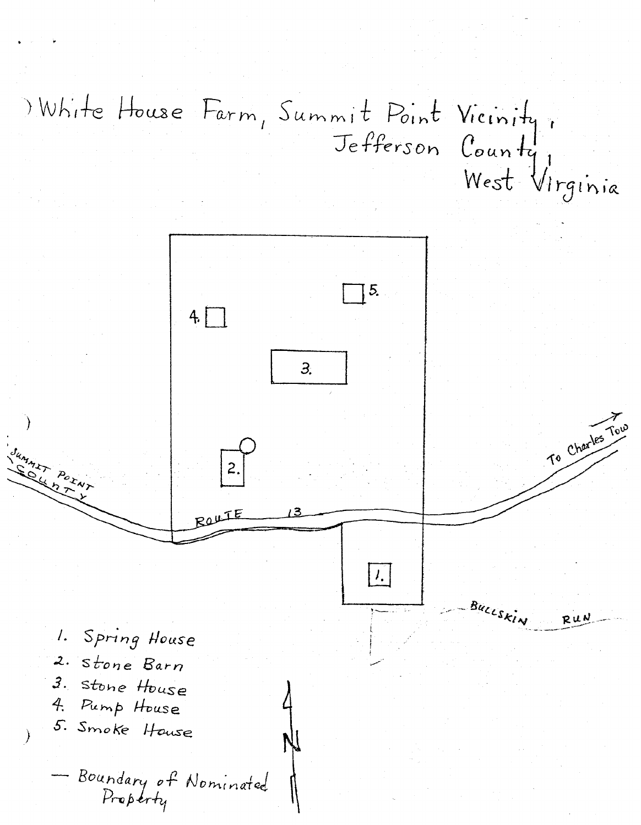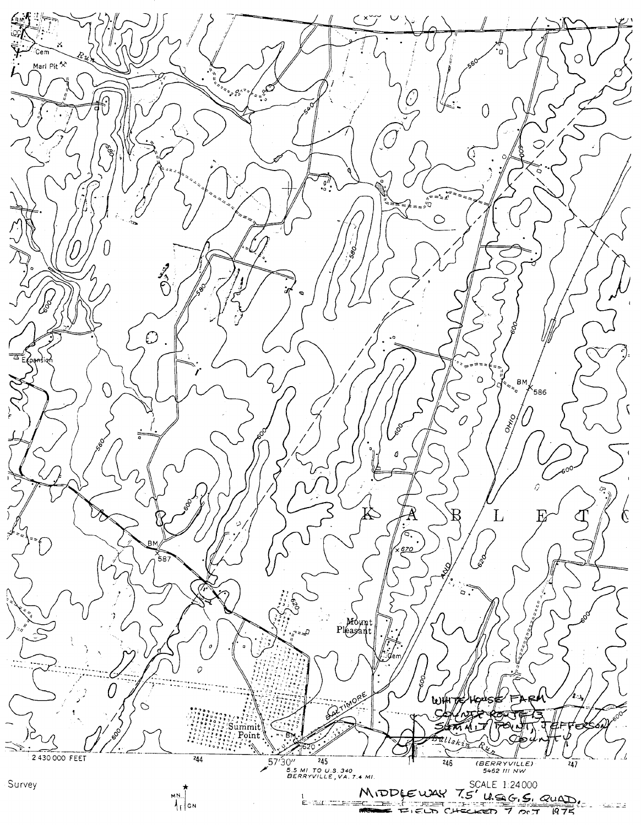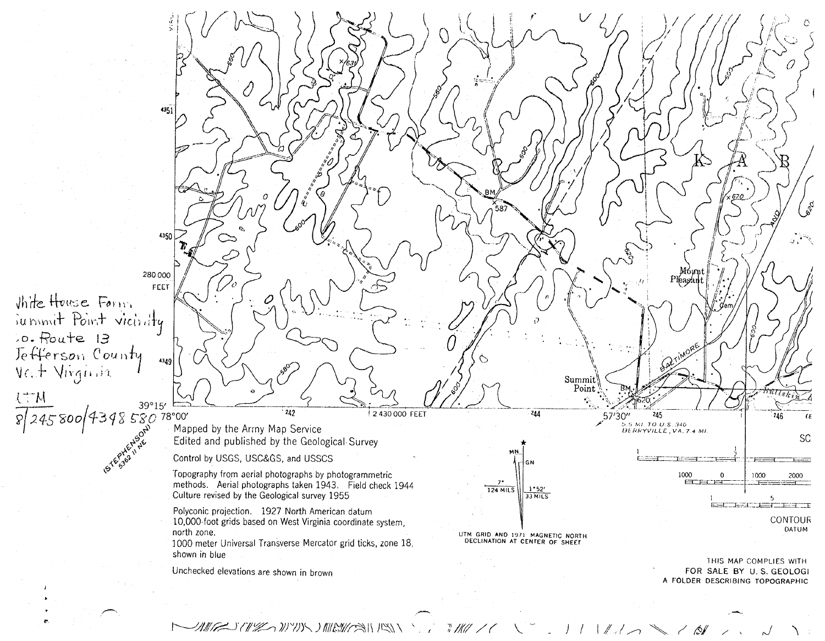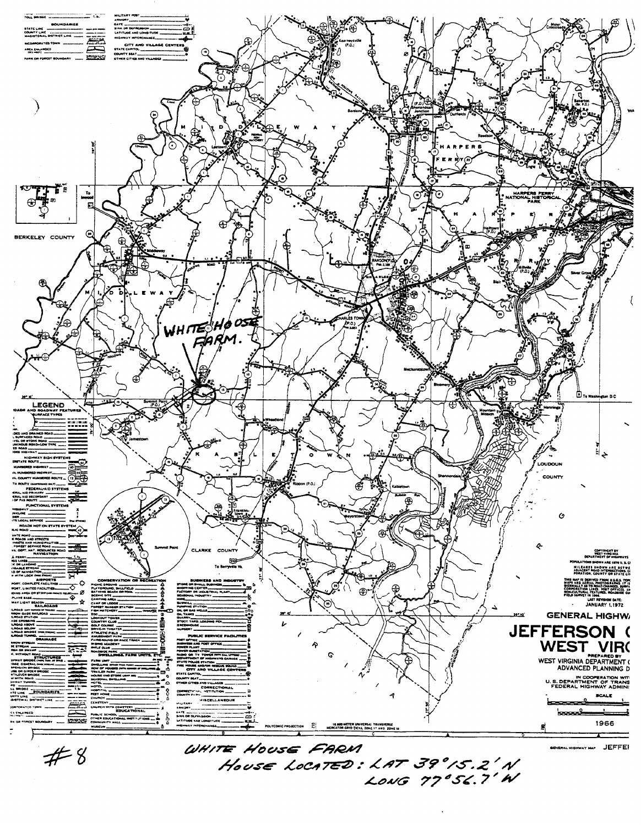